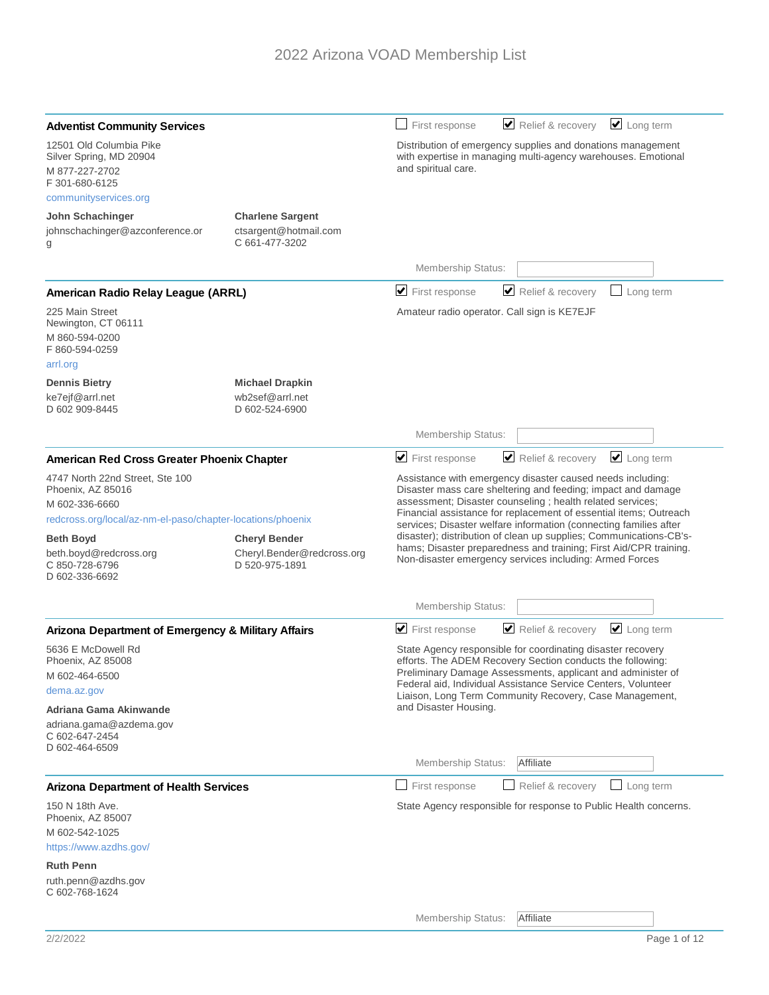| <b>Adventist Community Services</b>                                                                                                                                                                                                                                                            |                                                                                                                                                     | $\Box$ Long term<br>Relief & recovery<br>First response                                                                                                                                                                                                                                                                                                                                                                                                                                                                                  |
|------------------------------------------------------------------------------------------------------------------------------------------------------------------------------------------------------------------------------------------------------------------------------------------------|-----------------------------------------------------------------------------------------------------------------------------------------------------|------------------------------------------------------------------------------------------------------------------------------------------------------------------------------------------------------------------------------------------------------------------------------------------------------------------------------------------------------------------------------------------------------------------------------------------------------------------------------------------------------------------------------------------|
| 12501 Old Columbia Pike<br>Silver Spring, MD 20904<br>M 877-227-2702<br>F 301-680-6125                                                                                                                                                                                                         | Distribution of emergency supplies and donations management<br>with expertise in managing multi-agency warehouses. Emotional<br>and spiritual care. |                                                                                                                                                                                                                                                                                                                                                                                                                                                                                                                                          |
| communityservices.org                                                                                                                                                                                                                                                                          |                                                                                                                                                     |                                                                                                                                                                                                                                                                                                                                                                                                                                                                                                                                          |
| John Schachinger<br>johnschachinger@azconference.or<br>g                                                                                                                                                                                                                                       | <b>Charlene Sargent</b><br>ctsargent@hotmail.com<br>C 661-477-3202                                                                                  |                                                                                                                                                                                                                                                                                                                                                                                                                                                                                                                                          |
|                                                                                                                                                                                                                                                                                                |                                                                                                                                                     | Membership Status:                                                                                                                                                                                                                                                                                                                                                                                                                                                                                                                       |
| American Radio Relay League (ARRL)                                                                                                                                                                                                                                                             |                                                                                                                                                     | Relief & recovery<br>$\blacktriangleright$ First response<br>Long term                                                                                                                                                                                                                                                                                                                                                                                                                                                                   |
| 225 Main Street<br>Newington, CT 06111<br>M 860-594-0200<br>F 860-594-0259<br>arrl.org                                                                                                                                                                                                         |                                                                                                                                                     | Amateur radio operator. Call sign is KE7EJF                                                                                                                                                                                                                                                                                                                                                                                                                                                                                              |
| <b>Dennis Bietry</b><br>ke7ejf@arrl.net<br>D 602 909-8445                                                                                                                                                                                                                                      | <b>Michael Drapkin</b><br>wb2sef@arrl.net<br>D 602-524-6900                                                                                         |                                                                                                                                                                                                                                                                                                                                                                                                                                                                                                                                          |
|                                                                                                                                                                                                                                                                                                |                                                                                                                                                     | Membership Status:                                                                                                                                                                                                                                                                                                                                                                                                                                                                                                                       |
| American Red Cross Greater Phoenix Chapter                                                                                                                                                                                                                                                     |                                                                                                                                                     | Relief & recovery<br>$\Box$ Long term<br>$\blacktriangleright$ First response                                                                                                                                                                                                                                                                                                                                                                                                                                                            |
| 4747 North 22nd Street, Ste 100<br>Phoenix, AZ 85016<br>M 602-336-6660<br>redcross.org/local/az-nm-el-paso/chapter-locations/phoenix<br><b>Cheryl Bender</b><br><b>Beth Boyd</b><br>beth.boyd@redcross.org<br>Cheryl.Bender@redcross.org<br>C 850-728-6796<br>D 520-975-1891<br>D 602-336-6692 |                                                                                                                                                     | Assistance with emergency disaster caused needs including:<br>Disaster mass care sheltering and feeding; impact and damage<br>assessment; Disaster counseling ; health related services;<br>Financial assistance for replacement of essential items; Outreach<br>services; Disaster welfare information (connecting families after<br>disaster); distribution of clean up supplies; Communications-CB's-<br>hams; Disaster preparedness and training; First Aid/CPR training.<br>Non-disaster emergency services including: Armed Forces |
|                                                                                                                                                                                                                                                                                                |                                                                                                                                                     | Membership Status:                                                                                                                                                                                                                                                                                                                                                                                                                                                                                                                       |
| Arizona Department of Emergency & Military Affairs                                                                                                                                                                                                                                             |                                                                                                                                                     | $\blacktriangleright$ First response<br>Relief & recovery<br>$\cup$ Long term                                                                                                                                                                                                                                                                                                                                                                                                                                                            |
| 5636 E McDowell Rd<br>Phoenix, AZ 85008<br>M 602-464-6500<br>dema.az.gov<br>Adriana Gama Akinwande<br>adriana.gama@azdema.gov<br>C 602-647-2454<br>D 602-464-6509                                                                                                                              |                                                                                                                                                     | State Agency responsible for coordinating disaster recovery<br>efforts. The ADEM Recovery Section conducts the following:<br>Preliminary Damage Assessments, applicant and administer of<br>Federal aid, Individual Assistance Service Centers, Volunteer<br>Liaison, Long Term Community Recovery, Case Management,<br>and Disaster Housing.                                                                                                                                                                                            |
|                                                                                                                                                                                                                                                                                                |                                                                                                                                                     | Affiliate<br>Membership Status:                                                                                                                                                                                                                                                                                                                                                                                                                                                                                                          |
| <b>Arizona Department of Health Services</b>                                                                                                                                                                                                                                                   |                                                                                                                                                     | First response<br>Relief & recovery<br>Long term<br>$\overline{\phantom{a}}$                                                                                                                                                                                                                                                                                                                                                                                                                                                             |
| 150 N 18th Ave.<br>Phoenix, AZ 85007<br>M 602-542-1025<br>https://www.azdhs.gov/<br><b>Ruth Penn</b><br>ruth.penn@azdhs.gov<br>C 602-768-1624                                                                                                                                                  |                                                                                                                                                     | State Agency responsible for response to Public Health concerns.                                                                                                                                                                                                                                                                                                                                                                                                                                                                         |
|                                                                                                                                                                                                                                                                                                |                                                                                                                                                     | Membership Status:<br>Affiliate                                                                                                                                                                                                                                                                                                                                                                                                                                                                                                          |
|                                                                                                                                                                                                                                                                                                |                                                                                                                                                     |                                                                                                                                                                                                                                                                                                                                                                                                                                                                                                                                          |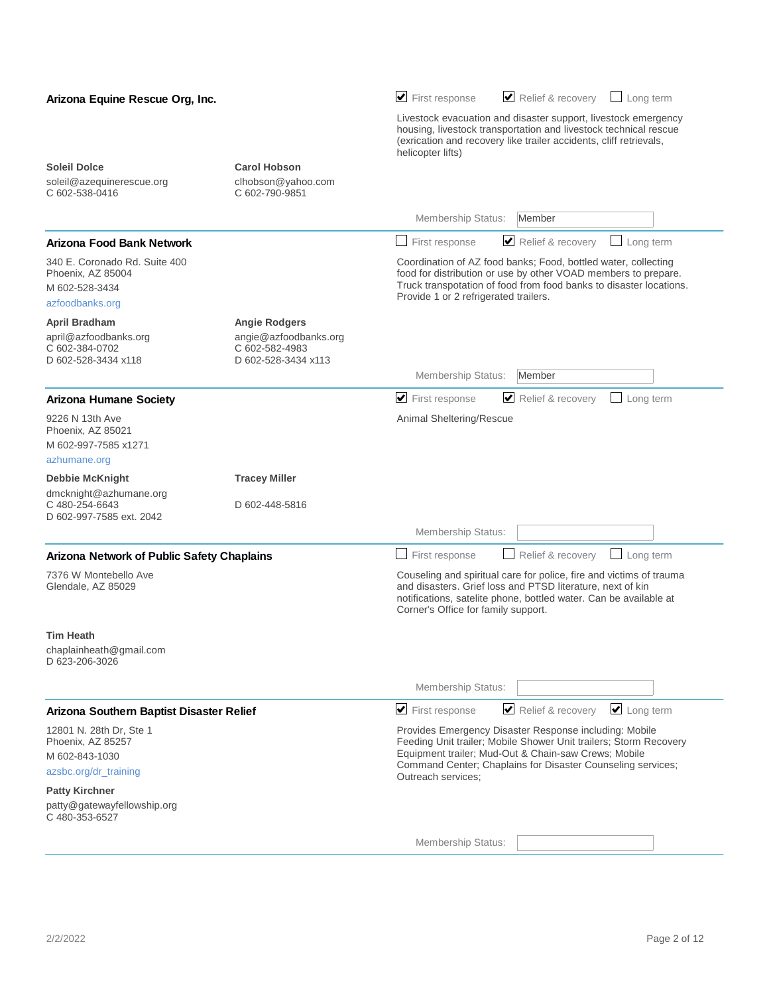| Arizona Equine Rescue Org, Inc.                                                                |                                                                                        | Relief & recovery $\Box$ Long term<br>$\blacktriangleright$ First response                                                                                                                                                                                               |
|------------------------------------------------------------------------------------------------|----------------------------------------------------------------------------------------|--------------------------------------------------------------------------------------------------------------------------------------------------------------------------------------------------------------------------------------------------------------------------|
|                                                                                                |                                                                                        | Livestock evacuation and disaster support, livestock emergency<br>housing, livestock transportation and livestock technical rescue<br>(exrication and recovery like trailer accidents, cliff retrievals,<br>helicopter lifts)                                            |
| <b>Soleil Dolce</b>                                                                            | <b>Carol Hobson</b>                                                                    |                                                                                                                                                                                                                                                                          |
| soleil@azequinerescue.org<br>C 602-538-0416                                                    | clhobson@yahoo.com<br>C 602-790-9851                                                   |                                                                                                                                                                                                                                                                          |
|                                                                                                |                                                                                        | Membership Status:<br>Member                                                                                                                                                                                                                                             |
| Arizona Food Bank Network                                                                      |                                                                                        | Relief & recovery<br>$\Box$ Long term<br>First response                                                                                                                                                                                                                  |
| 340 E. Coronado Rd. Suite 400<br>Phoenix, AZ 85004<br>M 602-528-3434                           |                                                                                        | Coordination of AZ food banks; Food, bottled water, collecting<br>food for distribution or use by other VOAD members to prepare.<br>Truck transpotation of food from food banks to disaster locations.<br>Provide 1 or 2 refrigerated trailers.                          |
| azfoodbanks.org                                                                                |                                                                                        |                                                                                                                                                                                                                                                                          |
| April Bradham<br>april@azfoodbanks.org<br>C 602-384-0702<br>D 602-528-3434 x118                | <b>Angie Rodgers</b><br>angie@azfoodbanks.org<br>C 602-582-4983<br>D 602-528-3434 x113 |                                                                                                                                                                                                                                                                          |
|                                                                                                |                                                                                        | Membership Status:<br>Member                                                                                                                                                                                                                                             |
| <b>Arizona Humane Society</b>                                                                  |                                                                                        | Relief & recovery<br>$\blacktriangleright$ First response<br>Long term                                                                                                                                                                                                   |
| 9226 N 13th Ave<br>Phoenix, AZ 85021<br>M 602-997-7585 x1271                                   |                                                                                        | Animal Sheltering/Rescue                                                                                                                                                                                                                                                 |
| azhumane.org                                                                                   |                                                                                        |                                                                                                                                                                                                                                                                          |
| <b>Debbie McKnight</b><br>dmcknight@azhumane.org<br>C 480-254-6643<br>D 602-997-7585 ext. 2042 | <b>Tracey Miller</b><br>D 602-448-5816                                                 |                                                                                                                                                                                                                                                                          |
|                                                                                                |                                                                                        | Membership Status:                                                                                                                                                                                                                                                       |
| <b>Arizona Network of Public Safety Chaplains</b>                                              |                                                                                        | Relief & recovery<br>Long term<br>First response<br>$\blacksquare$<br>$\Box$                                                                                                                                                                                             |
| 7376 W Montebello Ave<br>Glendale, AZ 85029                                                    |                                                                                        | Couseling and spiritual care for police, fire and victims of trauma<br>and disasters. Grief loss and PTSD literature, next of kin<br>notifications, satelite phone, bottled water. Can be available at<br>Corner's Office for family support.                            |
| Tim Heath<br>chaplainheath@gmail.com<br>D 623-206-3026                                         |                                                                                        |                                                                                                                                                                                                                                                                          |
|                                                                                                |                                                                                        | Membership Status:                                                                                                                                                                                                                                                       |
| Arizona Southern Baptist Disaster Relief                                                       |                                                                                        | Relief & recovery<br>$\Box$ Long term<br>$\blacktriangleright$ First response                                                                                                                                                                                            |
| 12801 N. 28th Dr, Ste 1<br>Phoenix, AZ 85257<br>M 602-843-1030<br>azsbc.org/dr_training        |                                                                                        | Provides Emergency Disaster Response including: Mobile<br>Feeding Unit trailer; Mobile Shower Unit trailers; Storm Recovery<br>Equipment trailer; Mud-Out & Chain-saw Crews; Mobile<br>Command Center; Chaplains for Disaster Counseling services;<br>Outreach services: |
| <b>Patty Kirchner</b><br>patty@gatewayfellowship.org                                           |                                                                                        |                                                                                                                                                                                                                                                                          |
| C 480-353-6527                                                                                 |                                                                                        |                                                                                                                                                                                                                                                                          |
|                                                                                                |                                                                                        | Membership Status:                                                                                                                                                                                                                                                       |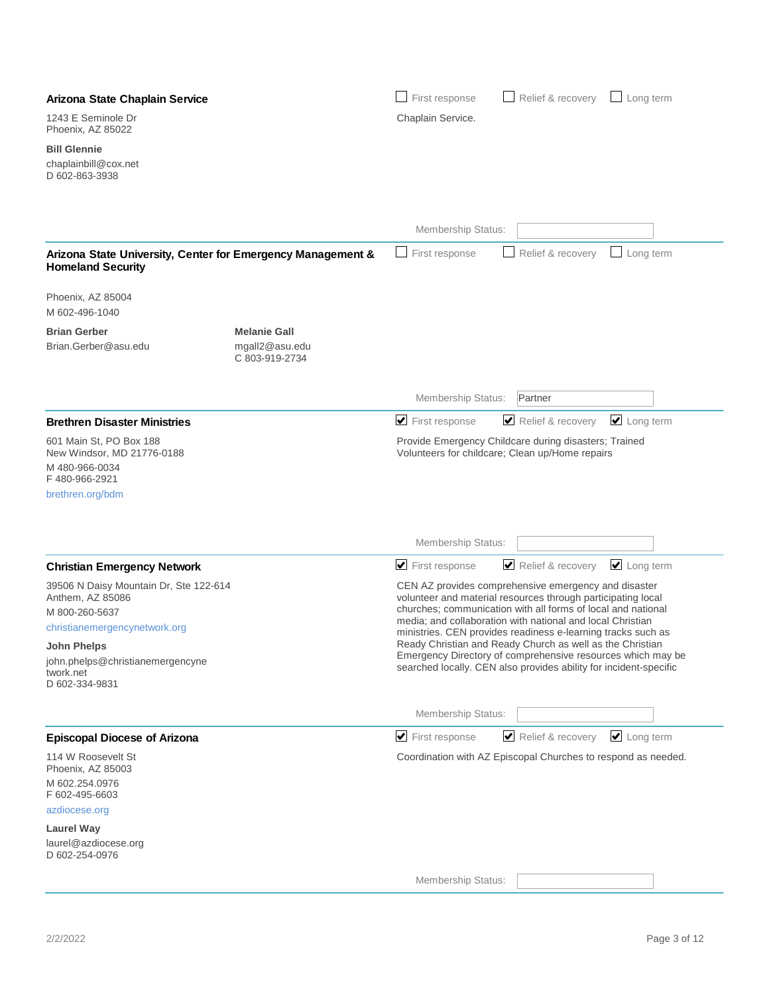| Arizona State Chaplain Service                                                                                                                                                                  |                                                         | First response                       | Relief & recovery                                                                                                                                                                                                                                                                                                                                                                                                                                                                                                   | $\Box$ Long term           |
|-------------------------------------------------------------------------------------------------------------------------------------------------------------------------------------------------|---------------------------------------------------------|--------------------------------------|---------------------------------------------------------------------------------------------------------------------------------------------------------------------------------------------------------------------------------------------------------------------------------------------------------------------------------------------------------------------------------------------------------------------------------------------------------------------------------------------------------------------|----------------------------|
| 1243 E Seminole Dr<br>Phoenix, AZ 85022                                                                                                                                                         |                                                         | Chaplain Service.                    |                                                                                                                                                                                                                                                                                                                                                                                                                                                                                                                     |                            |
| <b>Bill Glennie</b><br>chaplainbill@cox.net<br>D 602-863-3938                                                                                                                                   |                                                         |                                      |                                                                                                                                                                                                                                                                                                                                                                                                                                                                                                                     |                            |
|                                                                                                                                                                                                 |                                                         | Membership Status:                   |                                                                                                                                                                                                                                                                                                                                                                                                                                                                                                                     |                            |
| Arizona State University, Center for Emergency Management &<br><b>Homeland Security</b>                                                                                                         |                                                         | First response                       | Relief & recovery<br>$\mathcal{L}$                                                                                                                                                                                                                                                                                                                                                                                                                                                                                  | Long term<br>$\Box$        |
| Phoenix, AZ 85004<br>M 602-496-1040                                                                                                                                                             |                                                         |                                      |                                                                                                                                                                                                                                                                                                                                                                                                                                                                                                                     |                            |
| <b>Brian Gerber</b><br>Brian.Gerber@asu.edu                                                                                                                                                     | <b>Melanie Gall</b><br>mgall2@asu.edu<br>C 803-919-2734 |                                      |                                                                                                                                                                                                                                                                                                                                                                                                                                                                                                                     |                            |
|                                                                                                                                                                                                 |                                                         | Membership Status:                   | Partner                                                                                                                                                                                                                                                                                                                                                                                                                                                                                                             |                            |
| <b>Brethren Disaster Ministries</b>                                                                                                                                                             |                                                         | $\blacktriangleright$ First response | Relief & recovery                                                                                                                                                                                                                                                                                                                                                                                                                                                                                                   | $\Box$ Long term           |
| 601 Main St, PO Box 188<br>New Windsor, MD 21776-0188<br>M 480-966-0034<br>F480-966-2921<br>brethren.org/bdm                                                                                    |                                                         |                                      | Provide Emergency Childcare during disasters; Trained<br>Volunteers for childcare; Clean up/Home repairs                                                                                                                                                                                                                                                                                                                                                                                                            |                            |
|                                                                                                                                                                                                 |                                                         | Membership Status:                   |                                                                                                                                                                                                                                                                                                                                                                                                                                                                                                                     |                            |
| <b>Christian Emergency Network</b>                                                                                                                                                              |                                                         | $\blacktriangleright$ First response | Relief & recovery                                                                                                                                                                                                                                                                                                                                                                                                                                                                                                   | $\triangleright$ Long term |
| 39506 N Daisy Mountain Dr, Ste 122-614<br>Anthem, AZ 85086<br>M 800-260-5637<br>christianemergencynetwork.org<br>John Phelps<br>john.phelps@christianemergencyne<br>twork.net<br>D 602-334-9831 |                                                         |                                      | CEN AZ provides comprehensive emergency and disaster<br>volunteer and material resources through participating local<br>churches; communication with all forms of local and national<br>media; and collaboration with national and local Christian<br>ministries. CEN provides readiness e-learning tracks such as<br>Ready Christian and Ready Church as well as the Christian<br>Emergency Directory of comprehensive resources which may be<br>searched locally. CEN also provides ability for incident-specific |                            |
|                                                                                                                                                                                                 |                                                         | Membership Status:                   |                                                                                                                                                                                                                                                                                                                                                                                                                                                                                                                     |                            |
| <b>Episcopal Diocese of Arizona</b>                                                                                                                                                             |                                                         | $\blacktriangleright$ First response | Relief & recovery                                                                                                                                                                                                                                                                                                                                                                                                                                                                                                   | $\cup$ Long term           |
| 114 W Roosevelt St<br>Phoenix, AZ 85003<br>M 602.254.0976<br>F 602-495-6603<br>azdiocese.org<br><b>Laurel Way</b><br>laurel@azdiocese.org                                                       |                                                         |                                      | Coordination with AZ Episcopal Churches to respond as needed.                                                                                                                                                                                                                                                                                                                                                                                                                                                       |                            |
| D 602-254-0976                                                                                                                                                                                  |                                                         |                                      |                                                                                                                                                                                                                                                                                                                                                                                                                                                                                                                     |                            |
|                                                                                                                                                                                                 |                                                         | Membership Status:                   |                                                                                                                                                                                                                                                                                                                                                                                                                                                                                                                     |                            |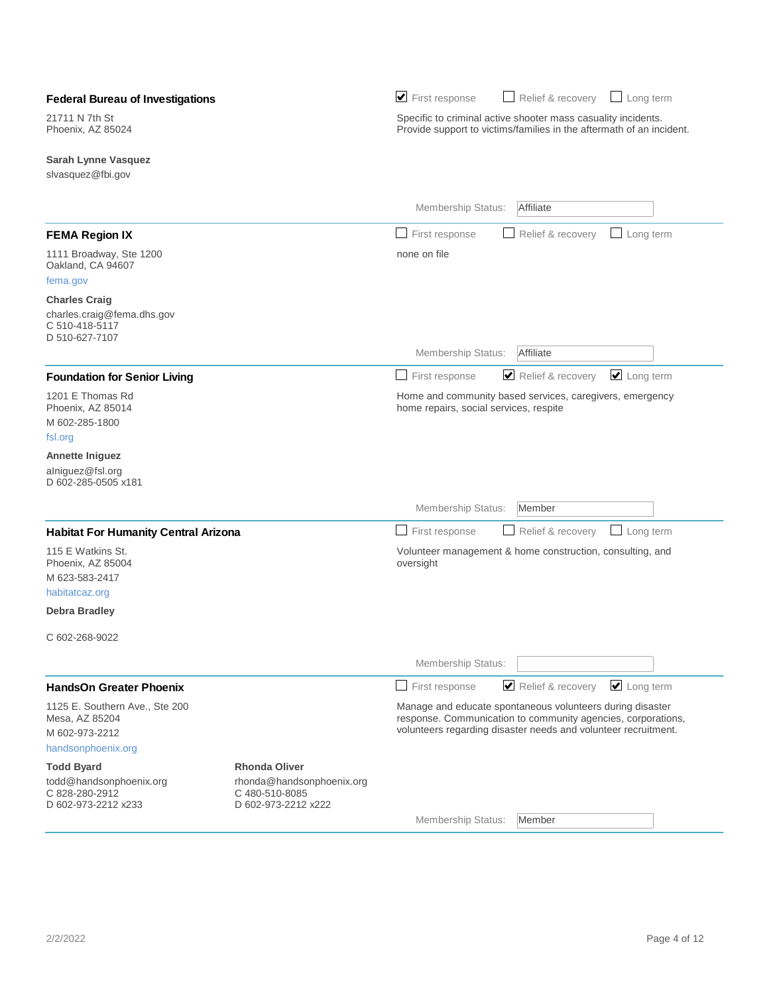| <b>Federal Bureau of Investigations</b>                                                            |                                                                    | $\blacktriangleright$ First response                                                                                                                                                        | Relief & recovery | $\Box$ Long term |
|----------------------------------------------------------------------------------------------------|--------------------------------------------------------------------|---------------------------------------------------------------------------------------------------------------------------------------------------------------------------------------------|-------------------|------------------|
| 21711 N 7th St<br>Phoenix, AZ 85024                                                                |                                                                    | Specific to criminal active shooter mass casuality incidents.<br>Provide support to victims/families in the aftermath of an incident.                                                       |                   |                  |
| <b>Sarah Lynne Vasquez</b><br>slvasquez@fbi.gov                                                    |                                                                    |                                                                                                                                                                                             |                   |                  |
|                                                                                                    |                                                                    | Membership Status:                                                                                                                                                                          | Affiliate         |                  |
| <b>FEMA Region IX</b>                                                                              |                                                                    | First response                                                                                                                                                                              | Relief & recovery | Long term<br>- 1 |
| 1111 Broadway, Ste 1200<br>Oakland, CA 94607<br>fema.gov                                           |                                                                    | none on file                                                                                                                                                                                |                   |                  |
| <b>Charles Craig</b><br>charles.craig@fema.dhs.gov<br>C 510-418-5117<br>D 510-627-7107             |                                                                    |                                                                                                                                                                                             |                   |                  |
|                                                                                                    |                                                                    | Membership Status:                                                                                                                                                                          | Affiliate         |                  |
| <b>Foundation for Senior Living</b>                                                                |                                                                    | First response<br>$\mathbf{I}$                                                                                                                                                              | Relief & recovery | $\Box$ Long term |
| 1201 E Thomas Rd<br>Phoenix, AZ 85014<br>M 602-285-1800<br>fsl.org<br><b>Annette Iniguez</b>       |                                                                    | Home and community based services, caregivers, emergency<br>home repairs, social services, respite                                                                                          |                   |                  |
| alniguez@fsl.org<br>D 602-285-0505 x181                                                            |                                                                    |                                                                                                                                                                                             |                   |                  |
|                                                                                                    |                                                                    | <b>Membership Status:</b>                                                                                                                                                                   | Member            |                  |
| <b>Habitat For Humanity Central Arizona</b>                                                        |                                                                    | $\Box$<br>First response                                                                                                                                                                    | Relief & recovery | Long term<br>┘   |
| 115 E Watkins St.<br>Phoenix, AZ 85004<br>M 623-583-2417<br>habitatcaz.org<br><b>Debra Bradley</b> |                                                                    | Volunteer management & home construction, consulting, and<br>oversight                                                                                                                      |                   |                  |
|                                                                                                    |                                                                    |                                                                                                                                                                                             |                   |                  |
| C 602-268-9022                                                                                     |                                                                    | Membership Status:                                                                                                                                                                          |                   |                  |
| <b>HandsOn Greater Phoenix</b>                                                                     |                                                                    | First response<br>$\mathbf{I}$                                                                                                                                                              | Relief & recovery | Long term        |
| 1125 E. Southern Ave., Ste 200<br>Mesa, AZ 85204<br>M 602-973-2212<br>handsonphoenix.org           |                                                                    | Manage and educate spontaneous volunteers during disaster<br>response. Communication to community agencies, corporations,<br>volunteers regarding disaster needs and volunteer recruitment. |                   |                  |
| <b>Todd Byard</b>                                                                                  | <b>Rhonda Oliver</b>                                               |                                                                                                                                                                                             |                   |                  |
| todd@handsonphoenix.org<br>C 828-280-2912<br>D 602-973-2212 x233                                   | rhonda@handsonphoenix.org<br>C 480-510-8085<br>D 602-973-2212 x222 | Membership Status:                                                                                                                                                                          | Member            |                  |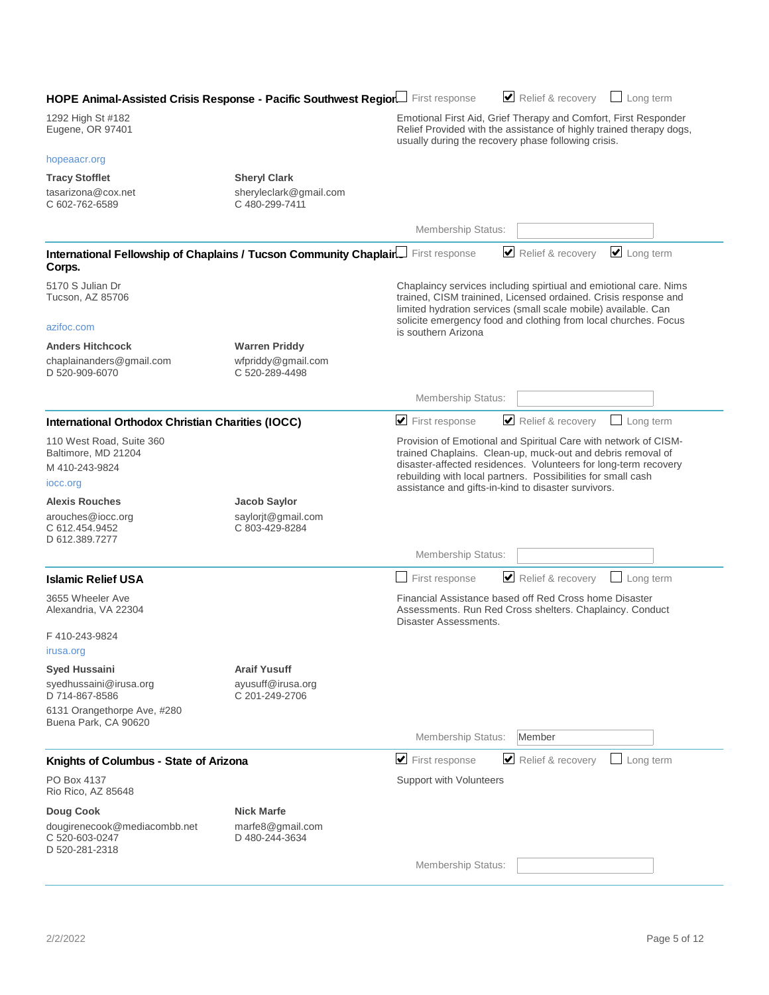| HOPE Animal-Assisted Crisis Response - Pacific Southwest Region First response |                                                              |                                                     | Relief & recovery<br>$\Box$ Long term                                                                                                                                                                                                                                     |
|--------------------------------------------------------------------------------|--------------------------------------------------------------|-----------------------------------------------------|---------------------------------------------------------------------------------------------------------------------------------------------------------------------------------------------------------------------------------------------------------------------------|
| 1292 High St #182<br>Eugene, OR 97401                                          |                                                              | usually during the recovery phase following crisis. | Emotional First Aid, Grief Therapy and Comfort, First Responder<br>Relief Provided with the assistance of highly trained therapy dogs,                                                                                                                                    |
| hopeaacr.org                                                                   |                                                              |                                                     |                                                                                                                                                                                                                                                                           |
| <b>Tracy Stofflet</b>                                                          | <b>Sheryl Clark</b>                                          |                                                     |                                                                                                                                                                                                                                                                           |
| tasarizona@cox.net<br>C 602-762-6589                                           | sheryleclark@gmail.com<br>C 480-299-7411                     |                                                     |                                                                                                                                                                                                                                                                           |
|                                                                                |                                                              | Membership Status:                                  |                                                                                                                                                                                                                                                                           |
| International Fellowship of Chaplains / Tucson Community Chaplair<br>Corps.    |                                                              | First response                                      | Relief & recovery<br>$\cup$ Long term                                                                                                                                                                                                                                     |
| 5170 S Julian Dr<br>Tucson, AZ 85706                                           |                                                              |                                                     | Chaplaincy services including spirtiual and emiotional care. Nims<br>trained, CISM trainined, Licensed ordained. Crisis response and<br>limited hydration services (small scale mobile) available. Can<br>solicite emergency food and clothing from local churches. Focus |
| azifoc.com                                                                     |                                                              | is southern Arizona                                 |                                                                                                                                                                                                                                                                           |
| <b>Anders Hitchcock</b><br>chaplainanders@gmail.com<br>D 520-909-6070          | <b>Warren Priddy</b><br>wfpriddy@gmail.com<br>C 520-289-4498 |                                                     |                                                                                                                                                                                                                                                                           |
|                                                                                |                                                              | Membership Status:                                  |                                                                                                                                                                                                                                                                           |
| <b>International Orthodox Christian Charities (IOCC)</b>                       |                                                              | $\blacktriangleright$ First response                | Relief & recovery<br>Long term                                                                                                                                                                                                                                            |
| 110 West Road, Suite 360<br>Baltimore, MD 21204<br>M 410-243-9824<br>iocc.org  |                                                              | assistance and gifts-in-kind to disaster survivors. | Provision of Emotional and Spiritual Care with network of CISM-<br>trained Chaplains. Clean-up, muck-out and debris removal of<br>disaster-affected residences. Volunteers for long-term recovery<br>rebuilding with local partners. Possibilities for small cash         |
| <b>Alexis Rouches</b>                                                          | Jacob Saylor                                                 |                                                     |                                                                                                                                                                                                                                                                           |
| arouches@iocc.org<br>C 612.454.9452<br>D 612.389.7277                          | saylorit@gmail.com<br>C 803-429-8284                         |                                                     |                                                                                                                                                                                                                                                                           |
|                                                                                |                                                              | Membership Status:                                  |                                                                                                                                                                                                                                                                           |
| <b>Islamic Relief USA</b>                                                      |                                                              | First response                                      | Relief & recovery<br>Long term                                                                                                                                                                                                                                            |
| 3655 Wheeler Ave<br>Alexandria, VA 22304                                       |                                                              | Disaster Assessments.                               | Financial Assistance based off Red Cross home Disaster<br>Assessments. Run Red Cross shelters. Chaplaincy. Conduct                                                                                                                                                        |
| F410-243-9824                                                                  |                                                              |                                                     |                                                                                                                                                                                                                                                                           |
| irusa.org                                                                      |                                                              |                                                     |                                                                                                                                                                                                                                                                           |
| <b>Syed Hussaini</b><br>syedhussaini@irusa.org<br>D 714-867-8586               | <b>Araif Yusuff</b><br>ayusuff@irusa.org<br>C 201-249-2706   |                                                     |                                                                                                                                                                                                                                                                           |
| 6131 Orangethorpe Ave, #280<br>Buena Park, CA 90620                            |                                                              |                                                     |                                                                                                                                                                                                                                                                           |
|                                                                                |                                                              | <b>Membership Status:</b>                           | Member                                                                                                                                                                                                                                                                    |
| Knights of Columbus - State of Arizona                                         |                                                              | $\blacktriangleright$ First response                | Relief & recovery<br>$\Box$ Long term                                                                                                                                                                                                                                     |
| PO Box 4137<br>Rio Rico, AZ 85648                                              |                                                              | Support with Volunteers                             |                                                                                                                                                                                                                                                                           |
| Doug Cook                                                                      | <b>Nick Marfe</b>                                            |                                                     |                                                                                                                                                                                                                                                                           |
| dougirenecook@mediacombb.net<br>C 520-603-0247<br>D 520-281-2318               | marfe8@gmail.com<br>D 480-244-3634                           |                                                     |                                                                                                                                                                                                                                                                           |
|                                                                                |                                                              | Membership Status:                                  |                                                                                                                                                                                                                                                                           |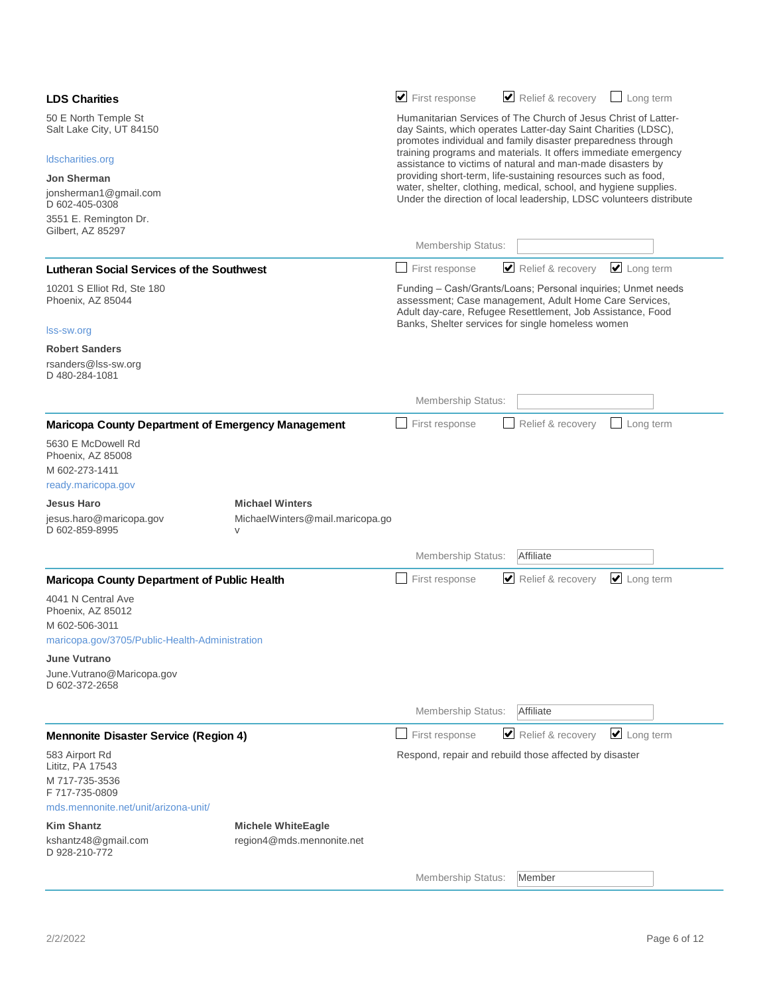| <b>LDS Charities</b>                                                 |                                                                     | $\blacktriangleright$ First response                                                                                                                                                            | Relief & recovery<br>Long term                                                                                                                                                                                                            |  |  |
|----------------------------------------------------------------------|---------------------------------------------------------------------|-------------------------------------------------------------------------------------------------------------------------------------------------------------------------------------------------|-------------------------------------------------------------------------------------------------------------------------------------------------------------------------------------------------------------------------------------------|--|--|
| 50 E North Temple St<br>Salt Lake City, UT 84150<br>Idscharities.org |                                                                     | Humanitarian Services of The Church of Jesus Christ of Latter-<br>day Saints, which operates Latter-day Saint Charities (LDSC),<br>promotes individual and family disaster preparedness through |                                                                                                                                                                                                                                           |  |  |
|                                                                      |                                                                     | training programs and materials. It offers immediate emergency<br>assistance to victims of natural and man-made disasters by                                                                    |                                                                                                                                                                                                                                           |  |  |
| <b>Jon Sherman</b>                                                   |                                                                     | providing short-term, life-sustaining resources such as food,                                                                                                                                   |                                                                                                                                                                                                                                           |  |  |
| jonsherman1@gmail.com<br>D 602-405-0308                              |                                                                     | water, shelter, clothing, medical, school, and hygiene supplies.<br>Under the direction of local leadership, LDSC volunteers distribute                                                         |                                                                                                                                                                                                                                           |  |  |
| 3551 E. Remington Dr.<br>Gilbert, AZ 85297                           |                                                                     |                                                                                                                                                                                                 |                                                                                                                                                                                                                                           |  |  |
|                                                                      |                                                                     | Membership Status:                                                                                                                                                                              |                                                                                                                                                                                                                                           |  |  |
| <b>Lutheran Social Services of the Southwest</b>                     |                                                                     | First response                                                                                                                                                                                  | Relief & recovery<br>$\triangleright$ Long term                                                                                                                                                                                           |  |  |
| 10201 S Elliot Rd, Ste 180<br>Phoenix, AZ 85044                      |                                                                     |                                                                                                                                                                                                 | Funding - Cash/Grants/Loans; Personal inquiries; Unmet needs<br>assessment; Case management, Adult Home Care Services,<br>Adult day-care, Refugee Resettlement, Job Assistance, Food<br>Banks, Shelter services for single homeless women |  |  |
| Iss-sw.org                                                           |                                                                     |                                                                                                                                                                                                 |                                                                                                                                                                                                                                           |  |  |
| <b>Robert Sanders</b><br>rsanders@lss-sw.org<br>D 480-284-1081       |                                                                     |                                                                                                                                                                                                 |                                                                                                                                                                                                                                           |  |  |
|                                                                      |                                                                     | Membership Status:                                                                                                                                                                              |                                                                                                                                                                                                                                           |  |  |
| <b>Maricopa County Department of Emergency Management</b>            |                                                                     | First response                                                                                                                                                                                  | Relief & recovery<br>Long term                                                                                                                                                                                                            |  |  |
| 5630 E McDowell Rd<br>Phoenix, AZ 85008<br>M 602-273-1411            |                                                                     |                                                                                                                                                                                                 |                                                                                                                                                                                                                                           |  |  |
| ready.maricopa.gov                                                   |                                                                     |                                                                                                                                                                                                 |                                                                                                                                                                                                                                           |  |  |
| <b>Jesus Haro</b><br>jesus.haro@maricopa.gov<br>D 602-859-8995       | <b>Michael Winters</b><br>MichaelWinters@mail.maricopa.go<br>$\vee$ |                                                                                                                                                                                                 |                                                                                                                                                                                                                                           |  |  |
|                                                                      |                                                                     | Membership Status:                                                                                                                                                                              | Affiliate                                                                                                                                                                                                                                 |  |  |
| <b>Maricopa County Department of Public Health</b>                   |                                                                     | First response                                                                                                                                                                                  | $\Box$ Long term<br>Relief & recovery                                                                                                                                                                                                     |  |  |
| 4041 N Central Ave<br>Phoenix, AZ 85012<br>M 602-506-3011            |                                                                     |                                                                                                                                                                                                 |                                                                                                                                                                                                                                           |  |  |
| maricopa.gov/3705/Public-Health-Administration                       |                                                                     |                                                                                                                                                                                                 |                                                                                                                                                                                                                                           |  |  |
| <b>June Vutrano</b>                                                  |                                                                     |                                                                                                                                                                                                 |                                                                                                                                                                                                                                           |  |  |
| June.Vutrano@Maricopa.gov<br>D 602-372-2658                          |                                                                     |                                                                                                                                                                                                 |                                                                                                                                                                                                                                           |  |  |
|                                                                      |                                                                     | Membership Status:                                                                                                                                                                              | Affiliate                                                                                                                                                                                                                                 |  |  |
| <b>Mennonite Disaster Service (Region 4)</b>                         |                                                                     | First response                                                                                                                                                                                  | $\triangle$ Long term<br>Relief & recovery                                                                                                                                                                                                |  |  |
| 583 Airport Rd<br>Lititz, PA 17543                                   |                                                                     |                                                                                                                                                                                                 | Respond, repair and rebuild those affected by disaster                                                                                                                                                                                    |  |  |
| M 717-735-3536<br>F 717-735-0809                                     |                                                                     |                                                                                                                                                                                                 |                                                                                                                                                                                                                                           |  |  |
| mds.mennonite.net/unit/arizona-unit/                                 |                                                                     |                                                                                                                                                                                                 |                                                                                                                                                                                                                                           |  |  |
| <b>Kim Shantz</b><br>kshantz48@gmail.com<br>D 928-210-772            | <b>Michele WhiteEagle</b><br>region4@mds.mennonite.net              |                                                                                                                                                                                                 |                                                                                                                                                                                                                                           |  |  |
|                                                                      |                                                                     | Membership Status:                                                                                                                                                                              | Member                                                                                                                                                                                                                                    |  |  |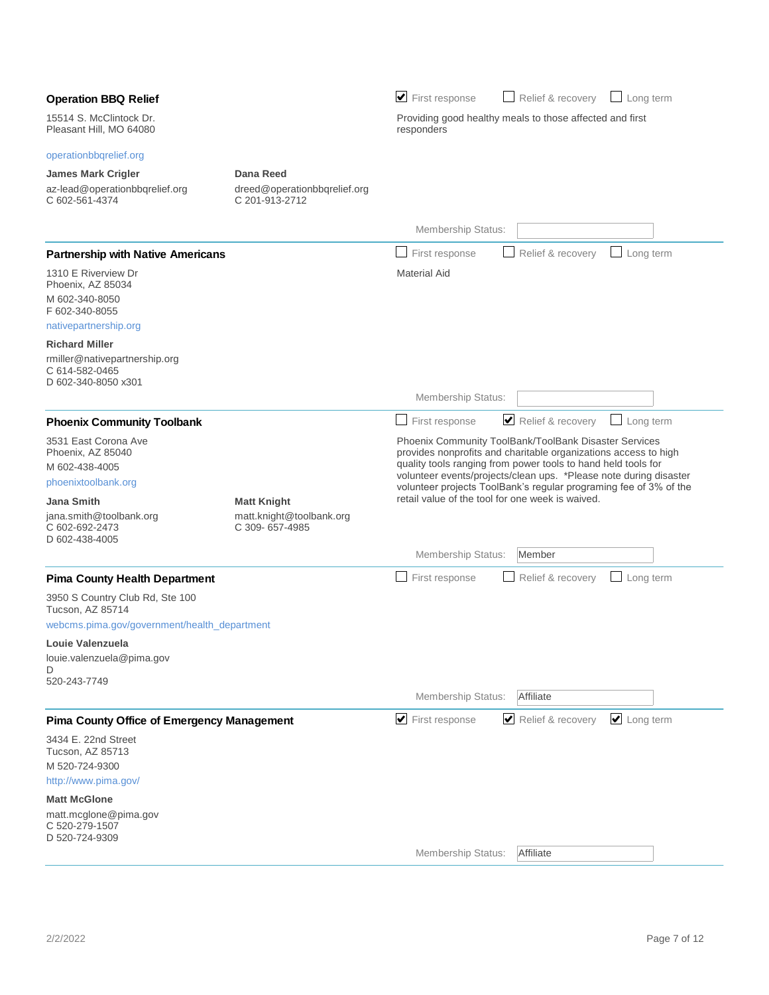|                                                                        |                                                | $\blacktriangleright$ First response                                                                                                                                                                                                                                                                                           | Relief & recovery |           |
|------------------------------------------------------------------------|------------------------------------------------|--------------------------------------------------------------------------------------------------------------------------------------------------------------------------------------------------------------------------------------------------------------------------------------------------------------------------------|-------------------|-----------|
| <b>Operation BBQ Relief</b>                                            |                                                |                                                                                                                                                                                                                                                                                                                                |                   | Long term |
| 15514 S. McClintock Dr.<br>Pleasant Hill, MO 64080                     |                                                | Providing good healthy meals to those affected and first<br>responders                                                                                                                                                                                                                                                         |                   |           |
| operationbbqrelief.org                                                 |                                                |                                                                                                                                                                                                                                                                                                                                |                   |           |
| <b>James Mark Crigler</b>                                              | Dana Reed                                      |                                                                                                                                                                                                                                                                                                                                |                   |           |
| az-lead@operationbbqrelief.org<br>C 602-561-4374                       | dreed@operationbbqrelief.org<br>C 201-913-2712 |                                                                                                                                                                                                                                                                                                                                |                   |           |
|                                                                        |                                                | Membership Status:                                                                                                                                                                                                                                                                                                             |                   |           |
| <b>Partnership with Native Americans</b>                               |                                                | First response                                                                                                                                                                                                                                                                                                                 | Relief & recovery | Long term |
| 1310 E Riverview Dr<br>Phoenix, AZ 85034                               |                                                | <b>Material Aid</b>                                                                                                                                                                                                                                                                                                            |                   |           |
| M 602-340-8050<br>F 602-340-8055                                       |                                                |                                                                                                                                                                                                                                                                                                                                |                   |           |
| nativepartnership.org                                                  |                                                |                                                                                                                                                                                                                                                                                                                                |                   |           |
| <b>Richard Miller</b>                                                  |                                                |                                                                                                                                                                                                                                                                                                                                |                   |           |
| rmiller@nativepartnership.org<br>C 614-582-0465<br>D 602-340-8050 x301 |                                                |                                                                                                                                                                                                                                                                                                                                |                   |           |
|                                                                        |                                                | Membership Status:                                                                                                                                                                                                                                                                                                             |                   |           |
| <b>Phoenix Community Toolbank</b>                                      |                                                | First response                                                                                                                                                                                                                                                                                                                 | Relief & recovery | Long term |
| 3531 East Corona Ave<br>Phoenix, AZ 85040                              |                                                | Phoenix Community ToolBank/ToolBank Disaster Services                                                                                                                                                                                                                                                                          |                   |           |
| M 602-438-4005                                                         |                                                | provides nonprofits and charitable organizations access to high<br>quality tools ranging from power tools to hand held tools for<br>volunteer events/projects/clean ups. *Please note during disaster<br>volunteer projects ToolBank's regular programing fee of 3% of the<br>retail value of the tool for one week is waived. |                   |           |
| phoenixtoolbank.org                                                    |                                                |                                                                                                                                                                                                                                                                                                                                |                   |           |
| <b>Jana Smith</b>                                                      | <b>Matt Knight</b>                             |                                                                                                                                                                                                                                                                                                                                |                   |           |
| jana.smith@toolbank.org<br>C 602-692-2473<br>D 602-438-4005            | matt.knight@toolbank.org<br>C 309-657-4985     |                                                                                                                                                                                                                                                                                                                                |                   |           |
|                                                                        |                                                | Membership Status:                                                                                                                                                                                                                                                                                                             | Member            |           |
| <b>Pima County Health Department</b>                                   |                                                | First response                                                                                                                                                                                                                                                                                                                 | Relief & recovery | Long term |
| 3950 S Country Club Rd, Ste 100<br>Tucson, AZ 85714                    |                                                |                                                                                                                                                                                                                                                                                                                                |                   |           |
| webcms.pima.gov/government/health_department                           |                                                |                                                                                                                                                                                                                                                                                                                                |                   |           |
| Louie Valenzuela                                                       |                                                |                                                                                                                                                                                                                                                                                                                                |                   |           |
| louie.valenzuela@pima.gov                                              |                                                |                                                                                                                                                                                                                                                                                                                                |                   |           |
| D<br>520-243-7749                                                      |                                                |                                                                                                                                                                                                                                                                                                                                |                   |           |
|                                                                        |                                                | Membership Status:                                                                                                                                                                                                                                                                                                             | Affiliate         |           |
| <b>Pima County Office of Emergency Management</b>                      |                                                | $\blacktriangleright$ First response                                                                                                                                                                                                                                                                                           | Relief & recovery | Long term |
| 3434 E. 22nd Street<br>Tucson, AZ 85713                                |                                                |                                                                                                                                                                                                                                                                                                                                |                   |           |
| M 520-724-9300                                                         |                                                |                                                                                                                                                                                                                                                                                                                                |                   |           |
| http://www.pima.gov/                                                   |                                                |                                                                                                                                                                                                                                                                                                                                |                   |           |
| <b>Matt McGlone</b>                                                    |                                                |                                                                                                                                                                                                                                                                                                                                |                   |           |
| matt.mcglone@pima.gov<br>C 520-279-1507<br>D 520-724-9309              |                                                |                                                                                                                                                                                                                                                                                                                                |                   |           |
|                                                                        |                                                | Membership Status:                                                                                                                                                                                                                                                                                                             | Affiliate         |           |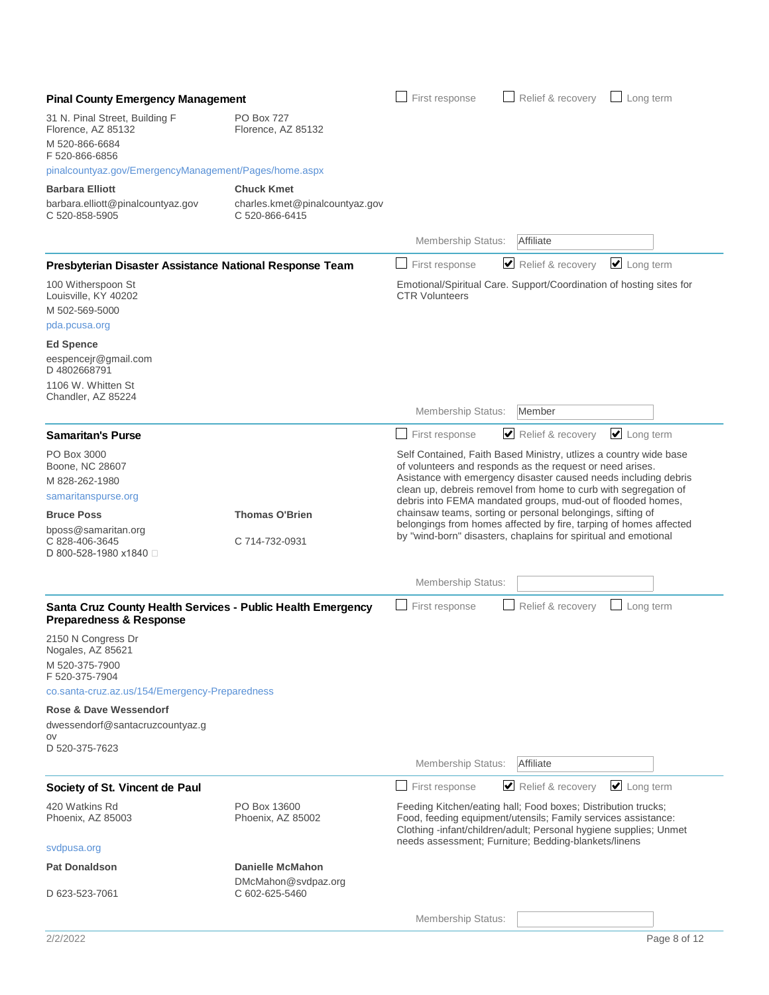| <b>Pinal County Emergency Management</b>                                                          |                                                                  | First response                                                                                                                                                                                                                                                                                                                                                                                                                                                                                                                            | Relief & recovery | $\Box$ Long term |
|---------------------------------------------------------------------------------------------------|------------------------------------------------------------------|-------------------------------------------------------------------------------------------------------------------------------------------------------------------------------------------------------------------------------------------------------------------------------------------------------------------------------------------------------------------------------------------------------------------------------------------------------------------------------------------------------------------------------------------|-------------------|------------------|
| 31 N. Pinal Street, Building F<br>Florence, AZ 85132<br>M 520-866-6684<br>F 520-866-6856          | <b>PO Box 727</b><br>Florence, AZ 85132                          |                                                                                                                                                                                                                                                                                                                                                                                                                                                                                                                                           |                   |                  |
| pinalcountyaz.gov/EmergencyManagement/Pages/home.aspx                                             |                                                                  |                                                                                                                                                                                                                                                                                                                                                                                                                                                                                                                                           |                   |                  |
| <b>Barbara Elliott</b>                                                                            | <b>Chuck Kmet</b>                                                |                                                                                                                                                                                                                                                                                                                                                                                                                                                                                                                                           |                   |                  |
| barbara.elliott@pinalcountyaz.gov<br>C 520-858-5905                                               | charles.kmet@pinalcountyaz.gov<br>C 520-866-6415                 |                                                                                                                                                                                                                                                                                                                                                                                                                                                                                                                                           |                   |                  |
|                                                                                                   |                                                                  | Membership Status:                                                                                                                                                                                                                                                                                                                                                                                                                                                                                                                        | Affiliate         |                  |
| Presbyterian Disaster Assistance National Response Team                                           |                                                                  | First response                                                                                                                                                                                                                                                                                                                                                                                                                                                                                                                            | Relief & recovery | $\Box$ Long term |
| 100 Witherspoon St<br>Louisville, KY 40202<br>M 502-569-5000                                      |                                                                  | Emotional/Spiritual Care. Support/Coordination of hosting sites for<br><b>CTR Volunteers</b>                                                                                                                                                                                                                                                                                                                                                                                                                                              |                   |                  |
| pda.pcusa.org                                                                                     |                                                                  |                                                                                                                                                                                                                                                                                                                                                                                                                                                                                                                                           |                   |                  |
| <b>Ed Spence</b><br>eespencejr@gmail.com<br>D4802668791<br>1106 W. Whitten St                     |                                                                  |                                                                                                                                                                                                                                                                                                                                                                                                                                                                                                                                           |                   |                  |
| Chandler, AZ 85224                                                                                |                                                                  | <b>Membership Status:</b>                                                                                                                                                                                                                                                                                                                                                                                                                                                                                                                 | Member            |                  |
| <b>Samaritan's Purse</b>                                                                          |                                                                  | First response                                                                                                                                                                                                                                                                                                                                                                                                                                                                                                                            | Relief & recovery | $\Box$ Long term |
| PO Box 3000<br>Boone, NC 28607<br>M 828-262-1980<br>samaritanspurse.org                           |                                                                  | Self Contained, Faith Based Ministry, utlizes a country wide base<br>of volunteers and responds as the request or need arises.<br>Asistance with emergency disaster caused needs including debris<br>clean up, debreis removel from home to curb with segregation of<br>debris into FEMA mandated groups, mud-out of flooded homes,<br>chainsaw teams, sorting or personal belongings, sifting of<br>belongings from homes affected by fire, tarping of homes affected<br>by "wind-born" disasters, chaplains for spiritual and emotional |                   |                  |
| <b>Bruce Poss</b>                                                                                 | <b>Thomas O'Brien</b>                                            |                                                                                                                                                                                                                                                                                                                                                                                                                                                                                                                                           |                   |                  |
| bposs@samaritan.org<br>C 828-406-3645<br>D 800-528-1980 x1840 □                                   | C 714-732-0931                                                   |                                                                                                                                                                                                                                                                                                                                                                                                                                                                                                                                           |                   |                  |
|                                                                                                   |                                                                  | <b>Membership Status:</b>                                                                                                                                                                                                                                                                                                                                                                                                                                                                                                                 |                   |                  |
| Santa Cruz County Health Services - Public Health Emergency<br><b>Preparedness &amp; Response</b> |                                                                  | First response                                                                                                                                                                                                                                                                                                                                                                                                                                                                                                                            | Relief & recovery | Long term        |
| 2150 N Congress Dr<br>Nogales, AZ 85621                                                           |                                                                  |                                                                                                                                                                                                                                                                                                                                                                                                                                                                                                                                           |                   |                  |
| M 520-375-7900<br>F 520-375-7904<br>co.santa-cruz.az.us/154/Emergency-Preparedness                |                                                                  |                                                                                                                                                                                                                                                                                                                                                                                                                                                                                                                                           |                   |                  |
| <b>Rose &amp; Dave Wessendorf</b>                                                                 |                                                                  |                                                                                                                                                                                                                                                                                                                                                                                                                                                                                                                                           |                   |                  |
| dwessendorf@santacruzcountyaz.g                                                                   |                                                                  |                                                                                                                                                                                                                                                                                                                                                                                                                                                                                                                                           |                   |                  |
| OV<br>D 520-375-7623                                                                              |                                                                  | <b>Membership Status:</b>                                                                                                                                                                                                                                                                                                                                                                                                                                                                                                                 | Affiliate         |                  |
| Society of St. Vincent de Paul                                                                    |                                                                  | First response                                                                                                                                                                                                                                                                                                                                                                                                                                                                                                                            | Relief & recovery | $\cup$ Long term |
| 420 Watkins Rd<br>Phoenix, AZ 85003                                                               | PO Box 13600<br>Phoenix, AZ 85002                                | Feeding Kitchen/eating hall; Food boxes; Distribution trucks;<br>Food, feeding equipment/utensils; Family services assistance:<br>Clothing -infant/children/adult; Personal hygiene supplies; Unmet<br>needs assessment; Furniture; Bedding-blankets/linens                                                                                                                                                                                                                                                                               |                   |                  |
| svdpusa.org                                                                                       |                                                                  |                                                                                                                                                                                                                                                                                                                                                                                                                                                                                                                                           |                   |                  |
| <b>Pat Donaldson</b><br>D 623-523-7061                                                            | <b>Danielle McMahon</b><br>DMcMahon@svdpaz.org<br>C 602-625-5460 |                                                                                                                                                                                                                                                                                                                                                                                                                                                                                                                                           |                   |                  |
|                                                                                                   |                                                                  | <b>Membership Status:</b>                                                                                                                                                                                                                                                                                                                                                                                                                                                                                                                 |                   |                  |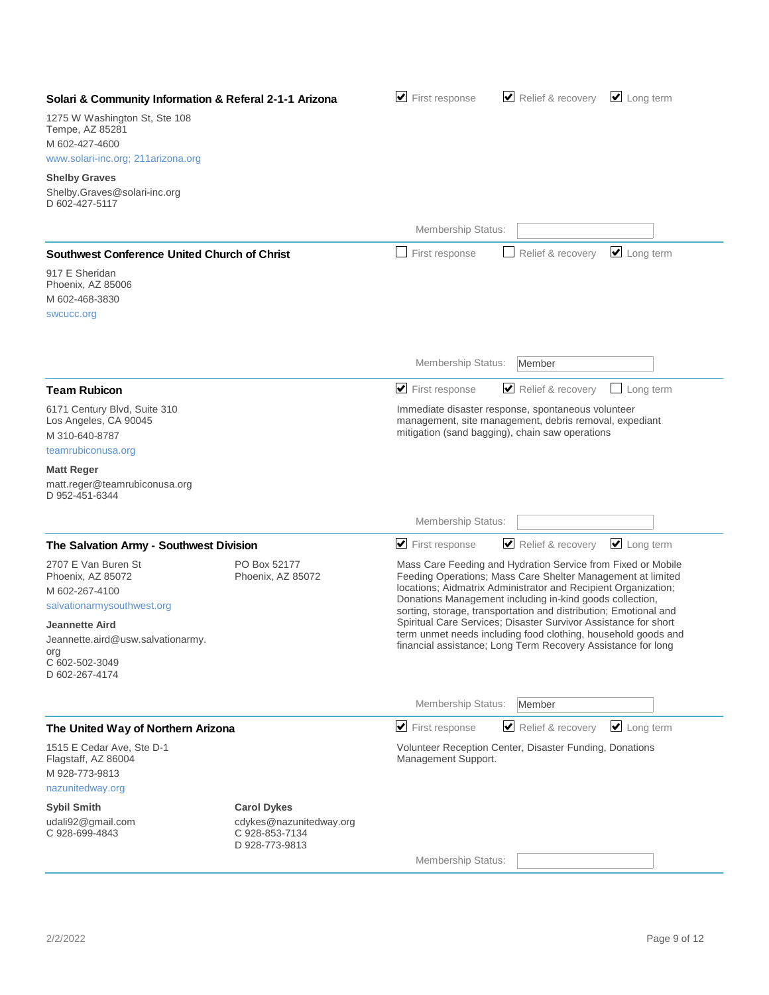| Solari & Community Information & Referal 2-1-1 Arizona                                                                                                                                            |                                                             | $\blacktriangleright$ First response                                                                                                                                                                                                                            | Relief & recovery                                                                                                                                                                                                                                              | $\Box$ Long term           |
|---------------------------------------------------------------------------------------------------------------------------------------------------------------------------------------------------|-------------------------------------------------------------|-----------------------------------------------------------------------------------------------------------------------------------------------------------------------------------------------------------------------------------------------------------------|----------------------------------------------------------------------------------------------------------------------------------------------------------------------------------------------------------------------------------------------------------------|----------------------------|
| 1275 W Washington St, Ste 108<br>Tempe, AZ 85281<br>M 602-427-4600<br>www.solari-inc.org; 211arizona.org                                                                                          |                                                             |                                                                                                                                                                                                                                                                 |                                                                                                                                                                                                                                                                |                            |
| <b>Shelby Graves</b><br>Shelby.Graves@solari-inc.org<br>D 602-427-5117                                                                                                                            |                                                             |                                                                                                                                                                                                                                                                 |                                                                                                                                                                                                                                                                |                            |
|                                                                                                                                                                                                   |                                                             | Membership Status:                                                                                                                                                                                                                                              |                                                                                                                                                                                                                                                                |                            |
| <b>Southwest Conference United Church of Christ</b>                                                                                                                                               |                                                             | First response                                                                                                                                                                                                                                                  | Relief & recovery                                                                                                                                                                                                                                              | $\cup$ Long term           |
| 917 E Sheridan<br>Phoenix, AZ 85006<br>M 602-468-3830<br>swcucc.org                                                                                                                               |                                                             |                                                                                                                                                                                                                                                                 |                                                                                                                                                                                                                                                                |                            |
|                                                                                                                                                                                                   |                                                             | Membership Status:                                                                                                                                                                                                                                              | Member                                                                                                                                                                                                                                                         |                            |
| <b>Team Rubicon</b>                                                                                                                                                                               |                                                             | $\blacktriangleright$ First response                                                                                                                                                                                                                            | Relief & recovery                                                                                                                                                                                                                                              | Long term                  |
| 6171 Century Blvd, Suite 310<br>Los Angeles, CA 90045<br>M 310-640-8787<br>teamrubiconusa.org                                                                                                     |                                                             | Immediate disaster response, spontaneous volunteer<br>management, site management, debris removal, expediant<br>mitigation (sand bagging), chain saw operations                                                                                                 |                                                                                                                                                                                                                                                                |                            |
| <b>Matt Reger</b><br>matt.reger@teamrubiconusa.org<br>D 952-451-6344                                                                                                                              |                                                             |                                                                                                                                                                                                                                                                 |                                                                                                                                                                                                                                                                |                            |
|                                                                                                                                                                                                   |                                                             | Membership Status:                                                                                                                                                                                                                                              |                                                                                                                                                                                                                                                                |                            |
| The Salvation Army - Southwest Division                                                                                                                                                           |                                                             | $\blacktriangleright$ First response                                                                                                                                                                                                                            | Relief & recovery                                                                                                                                                                                                                                              | $\cup$ Long term           |
| 2707 E Van Buren St<br>Phoenix, AZ 85072<br>M 602-267-4100<br>salvationarmysouthwest.org<br><b>Jeannette Aird</b><br>Jeannette.aird@usw.salvationarmy.<br>org<br>C 602-502-3049<br>D 602-267-4174 | PO Box 52177<br>Phoenix, AZ 85072                           | Mass Care Feeding and Hydration Service from Fixed or Mobile<br>locations; Aidmatrix Administrator and Recipient Organization;<br>term unmet needs including food clothing, household goods and<br>financial assistance; Long Term Recovery Assistance for long | Feeding Operations; Mass Care Shelter Management at limited<br>Donations Management including in-kind goods collection,<br>sorting, storage, transportation and distribution; Emotional and<br>Spiritual Care Services; Disaster Survivor Assistance for short |                            |
|                                                                                                                                                                                                   |                                                             | Membership Status:                                                                                                                                                                                                                                              | Member                                                                                                                                                                                                                                                         |                            |
| The United Way of Northern Arizona                                                                                                                                                                |                                                             | $\blacktriangleright$ First response                                                                                                                                                                                                                            | Relief & recovery                                                                                                                                                                                                                                              | $\triangleright$ Long term |
| 1515 E Cedar Ave, Ste D-1<br>Flagstaff, AZ 86004<br>M 928-773-9813<br>nazunitedway.org                                                                                                            |                                                             | Volunteer Reception Center, Disaster Funding, Donations<br>Management Support.                                                                                                                                                                                  |                                                                                                                                                                                                                                                                |                            |
| <b>Sybil Smith</b>                                                                                                                                                                                | <b>Carol Dykes</b>                                          |                                                                                                                                                                                                                                                                 |                                                                                                                                                                                                                                                                |                            |
| udali92@gmail.com<br>C 928-699-4843                                                                                                                                                               | cdykes@nazunitedway.org<br>C 928-853-7134<br>D 928-773-9813 |                                                                                                                                                                                                                                                                 |                                                                                                                                                                                                                                                                |                            |
|                                                                                                                                                                                                   |                                                             | Membership Status:                                                                                                                                                                                                                                              |                                                                                                                                                                                                                                                                |                            |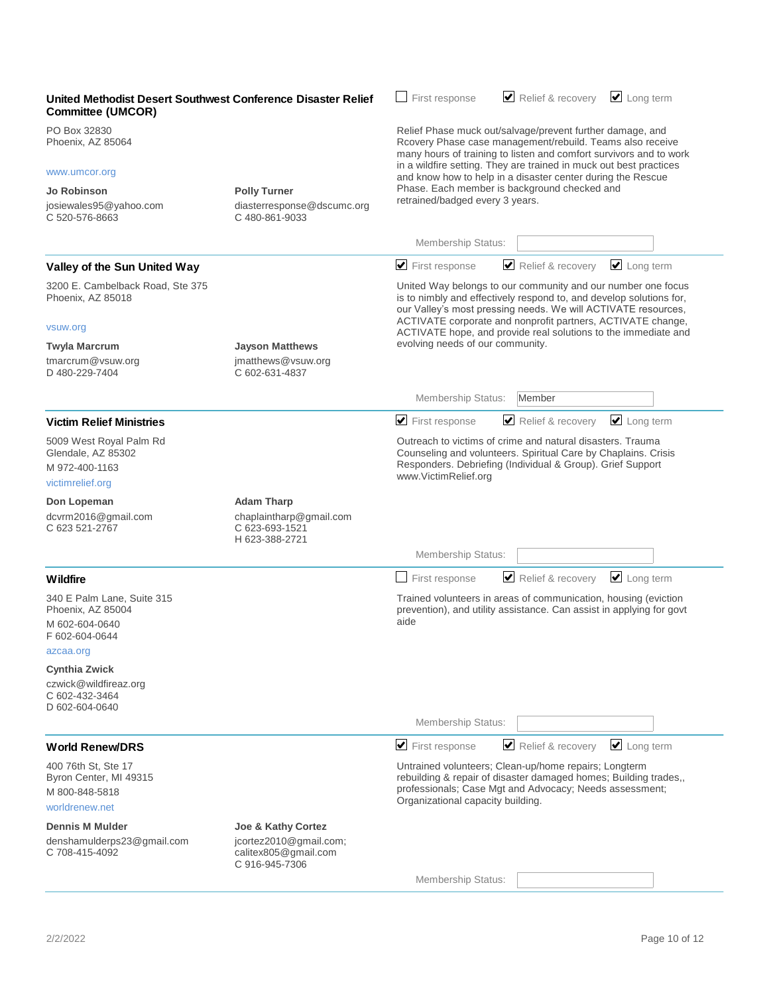| United Methodist Desert Southwest Conference Disaster Relief<br><b>Committee (UMCOR)</b>         |                                                                                  | Relief & recovery<br>First response                                                                                                                                                                                       | $\triangleright$ Long term |  |
|--------------------------------------------------------------------------------------------------|----------------------------------------------------------------------------------|---------------------------------------------------------------------------------------------------------------------------------------------------------------------------------------------------------------------------|----------------------------|--|
| PO Box 32830<br>Phoenix, AZ 85064                                                                |                                                                                  | Relief Phase muck out/salvage/prevent further damage, and<br>Rcovery Phase case management/rebuild. Teams also receive<br>many hours of training to listen and comfort survivors and to work                              |                            |  |
| www.umcor.org                                                                                    |                                                                                  | in a wildfire setting. They are trained in muck out best practices<br>and know how to help in a disaster center during the Rescue                                                                                         |                            |  |
| Jo Robinson                                                                                      | <b>Polly Turner</b>                                                              | Phase. Each member is background checked and                                                                                                                                                                              |                            |  |
| josiewales95@yahoo.com<br>C 520-576-8663                                                         | diasterresponse@dscumc.org<br>C 480-861-9033                                     | retrained/badged every 3 years.                                                                                                                                                                                           |                            |  |
|                                                                                                  |                                                                                  | Membership Status:                                                                                                                                                                                                        |                            |  |
| Valley of the Sun United Way                                                                     |                                                                                  | $\blacktriangleright$ First response<br>Relief & recovery                                                                                                                                                                 | $\Box$ Long term           |  |
| 3200 E. Cambelback Road, Ste 375<br>Phoenix, AZ 85018                                            |                                                                                  | United Way belongs to our community and our number one focus<br>is to nimbly and effectively respond to, and develop solutions for,<br>our Valley's most pressing needs. We will ACTIVATE resources,                      |                            |  |
| vsuw.org                                                                                         |                                                                                  | ACTIVATE corporate and nonprofit partners, ACTIVATE change,<br>ACTIVATE hope, and provide real solutions to the immediate and                                                                                             |                            |  |
| <b>Twyla Marcrum</b>                                                                             | <b>Jayson Matthews</b>                                                           | evolving needs of our community.                                                                                                                                                                                          |                            |  |
| tmarcrum@vsuw.org<br>D 480-229-7404                                                              | jmatthews@vsuw.org<br>C 602-631-4837                                             |                                                                                                                                                                                                                           |                            |  |
|                                                                                                  |                                                                                  | Membership Status:<br>Member                                                                                                                                                                                              |                            |  |
| <b>Victim Relief Ministries</b>                                                                  |                                                                                  | $\blacktriangleright$ First response<br>Relief & recovery                                                                                                                                                                 | $\triangleright$ Long term |  |
| 5009 West Royal Palm Rd<br>Glendale, AZ 85302<br>M 972-400-1163<br>victimrelief.org              |                                                                                  | Outreach to victims of crime and natural disasters. Trauma<br>Counseling and volunteers. Spiritual Care by Chaplains. Crisis<br>Responders. Debriefing (Individual & Group). Grief Support<br>www.VictimRelief.org        |                            |  |
| Don Lopeman<br>dcvrm2016@gmail.com<br>C 623 521-2767                                             | <b>Adam Tharp</b><br>chaplaintharp@gmail.com<br>C 623-693-1521<br>H 623-388-2721 |                                                                                                                                                                                                                           |                            |  |
|                                                                                                  |                                                                                  | Membership Status:                                                                                                                                                                                                        |                            |  |
| <b>Wildfire</b>                                                                                  |                                                                                  | Relief & recovery<br>First response                                                                                                                                                                                       | $\triangleright$ Long term |  |
| 340 E Palm Lane, Suite 315<br>Phoenix, AZ 85004<br>M 602-604-0640<br>F 602-604-0644<br>azcaa.org |                                                                                  | Trained volunteers in areas of communication, housing (eviction<br>prevention), and utility assistance. Can assist in applying for govt<br>aide                                                                           |                            |  |
| <b>Cynthia Zwick</b><br>czwick@wildfireaz.org<br>C 602-432-3464<br>D 602-604-0640                |                                                                                  |                                                                                                                                                                                                                           |                            |  |
|                                                                                                  |                                                                                  | Membership Status:                                                                                                                                                                                                        |                            |  |
| <b>World Renew/DRS</b>                                                                           |                                                                                  | $\blacktriangleright$ First response<br>Relief & recovery                                                                                                                                                                 | $\Box$ Long term           |  |
| 400 76th St, Ste 17<br>Byron Center, MI 49315<br>M 800-848-5818<br>worldrenew.net                |                                                                                  | Untrained volunteers; Clean-up/home repairs; Longterm<br>rebuilding & repair of disaster damaged homes; Building trades,,<br>professionals; Case Mgt and Advocacy; Needs assessment;<br>Organizational capacity building. |                            |  |
| <b>Dennis M Mulder</b>                                                                           | <b>Joe &amp; Kathy Cortez</b>                                                    |                                                                                                                                                                                                                           |                            |  |
| denshamulderps23@gmail.com<br>C 708-415-4092                                                     | jcortez2010@gmail.com;<br>calitex805@gmail.com<br>C 916-945-7306                 |                                                                                                                                                                                                                           |                            |  |
|                                                                                                  |                                                                                  | <b>Membership Status:</b>                                                                                                                                                                                                 |                            |  |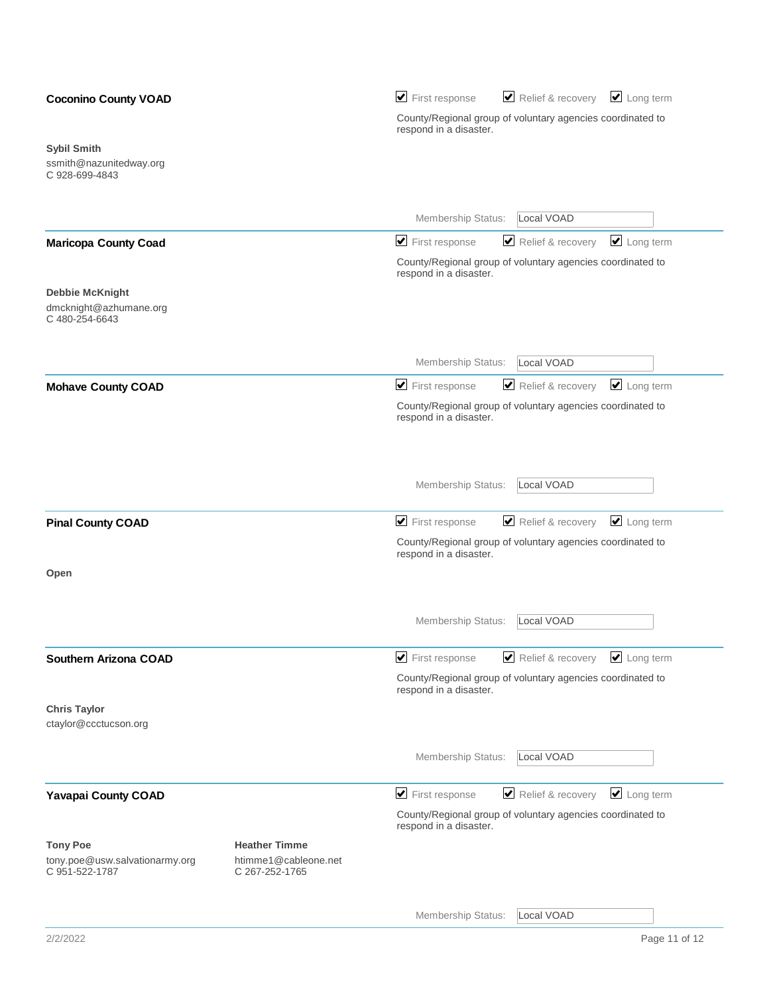| <b>Coconino County VOAD</b>                                         |                                                                | Relief & recovery V Long term<br>$\blacktriangleright$ First response                   |
|---------------------------------------------------------------------|----------------------------------------------------------------|-----------------------------------------------------------------------------------------|
|                                                                     |                                                                | County/Regional group of voluntary agencies coordinated to<br>respond in a disaster.    |
| <b>Sybil Smith</b><br>ssmith@nazunitedway.org<br>C 928-699-4843     |                                                                |                                                                                         |
|                                                                     |                                                                | Local VOAD<br>Membership Status:                                                        |
| <b>Maricopa County Coad</b>                                         |                                                                | $\Box$ Long term<br>$\blacktriangleright$ First response<br>Relief & recovery           |
|                                                                     |                                                                | County/Regional group of voluntary agencies coordinated to<br>respond in a disaster.    |
| <b>Debbie McKnight</b><br>dmcknight@azhumane.org<br>C 480-254-6643  |                                                                |                                                                                         |
|                                                                     |                                                                | Local VOAD<br>Membership Status:                                                        |
| <b>Mohave County COAD</b>                                           |                                                                | $\Box$ Long term<br>$\blacktriangleright$ First response<br>Relief & recovery           |
|                                                                     |                                                                | County/Regional group of voluntary agencies coordinated to<br>respond in a disaster.    |
|                                                                     |                                                                | Local VOAD<br>Membership Status:                                                        |
| <b>Pinal County COAD</b>                                            |                                                                | $\blacktriangleright$ First response<br>Relief & recovery<br>$\Box$ Long term           |
|                                                                     |                                                                | County/Regional group of voluntary agencies coordinated to<br>respond in a disaster.    |
| Open                                                                |                                                                |                                                                                         |
|                                                                     |                                                                | Local VOAD<br>Membership Status:                                                        |
| Southern Arizona COAD                                               |                                                                | Relief & recovery<br>$\triangleright$ Long term<br>$\blacktriangleright$ First response |
|                                                                     |                                                                | County/Regional group of voluntary agencies coordinated to<br>respond in a disaster.    |
| <b>Chris Taylor</b><br>ctaylor@ccctucson.org                        |                                                                |                                                                                         |
|                                                                     |                                                                | Local VOAD<br>Membership Status:                                                        |
| <b>Yavapai County COAD</b>                                          |                                                                | $\blacktriangleright$ First response<br>Relief & recovery<br>$\Box$ Long term           |
|                                                                     |                                                                | County/Regional group of voluntary agencies coordinated to<br>respond in a disaster.    |
| <b>Tony Poe</b><br>tony.poe@usw.salvationarmy.org<br>C 951-522-1787 | <b>Heather Timme</b><br>htimme1@cableone.net<br>C 267-252-1765 |                                                                                         |
|                                                                     |                                                                | Local VOAD<br>Membership Status:                                                        |